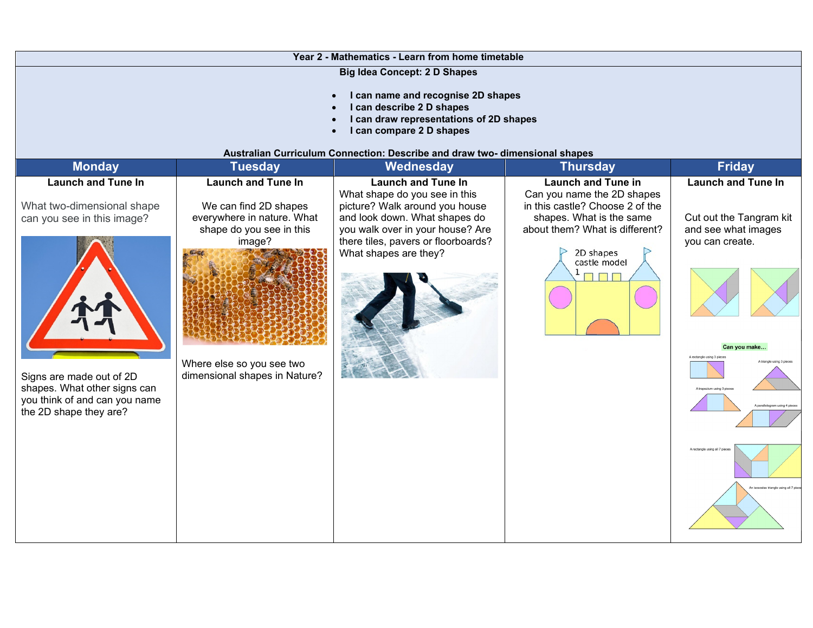| Year 2 - Mathematics - Learn from home timetable                                                                                                                                                                                                             |                                                                                                                                                                                      |                                                                                                                                                                                                                                   |                                                                                                                                                                                       |                                                                                                                                                                         |  |
|--------------------------------------------------------------------------------------------------------------------------------------------------------------------------------------------------------------------------------------------------------------|--------------------------------------------------------------------------------------------------------------------------------------------------------------------------------------|-----------------------------------------------------------------------------------------------------------------------------------------------------------------------------------------------------------------------------------|---------------------------------------------------------------------------------------------------------------------------------------------------------------------------------------|-------------------------------------------------------------------------------------------------------------------------------------------------------------------------|--|
| <b>Big Idea Concept: 2 D Shapes</b><br>I can name and recognise 2D shapes<br>I can describe 2 D shapes<br>I can draw representations of 2D shapes<br>I can compare 2 D shapes<br>Australian Curriculum Connection: Describe and draw two- dimensional shapes |                                                                                                                                                                                      |                                                                                                                                                                                                                                   |                                                                                                                                                                                       |                                                                                                                                                                         |  |
| <b>Monday</b>                                                                                                                                                                                                                                                | <b>Tuesday</b>                                                                                                                                                                       | Wednesday                                                                                                                                                                                                                         | <b>Thursday</b>                                                                                                                                                                       | <b>Friday</b>                                                                                                                                                           |  |
| <b>Launch and Tune In</b><br>What two-dimensional shape<br>can you see in this image?<br>Signs are made out of 2D<br>shapes. What other signs can<br>you think of and can you name<br>the 2D shape they are?                                                 | <b>Launch and Tune In</b><br>We can find 2D shapes<br>everywhere in nature. What<br>shape do you see in this<br>image?<br>Where else so you see two<br>dimensional shapes in Nature? | <b>Launch and Tune In</b><br>What shape do you see in this<br>picture? Walk around you house<br>and look down. What shapes do<br>you walk over in your house? Are<br>there tiles, pavers or floorboards?<br>What shapes are they? | <b>Launch and Tune in</b><br>Can you name the 2D shapes<br>in this castle? Choose 2 of the<br>shapes. What is the same<br>about them? What is different?<br>2D shapes<br>castle model | <b>Launch and Tune In</b><br>Cut out the Tangram kit<br>and see what images<br>you can create.<br>Can you make<br>A rectangle using 3 piec<br>A rectangle using all 7 p |  |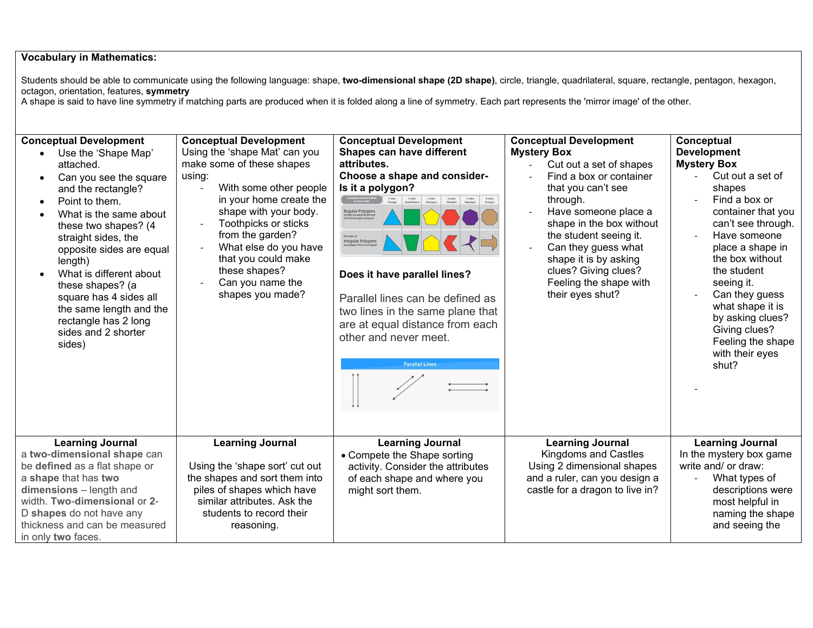## **Vocabulary in Mathematics:**

Students should be able to communicate using the following language: shape, **two-dimensional shape (2D shape)**, circle, triangle, quadrilateral, square, rectangle, pentagon, hexagon, octagon, orientation, features, **symmetry**

A shape is said to have line symmetry if matching parts are produced when it is folded along a line of symmetry. Each part represents the 'mirror image' of the other.

| <b>Conceptual Development</b><br>Use the 'Shape Map'<br>$\bullet$<br>attached.<br>Can you see the square<br>and the rectangle?<br>Point to them.<br>What is the same about<br>these two shapes? (4<br>straight sides, the<br>opposite sides are equal<br>length)<br>What is different about<br>these shapes? (a<br>square has 4 sides all<br>the same length and the<br>rectangle has 2 long<br>sides and 2 shorter<br>sides) | <b>Conceptual Development</b><br>Using the 'shape Mat' can you<br>make some of these shapes<br>using:<br>With some other people<br>in your home create the<br>shape with your body.<br>Toothpicks or sticks<br>from the garden?<br>What else do you have<br>that you could make<br>these shapes?<br>Can you name the<br>shapes you made? | <b>Conceptual Development</b><br>Shapes can have different<br>attributes.<br>Choose a shape and consider-<br>Is it a polygon?<br>A polygon can have three<br>or more sides<br>$\begin{tabular}{c c} 4 sides & 5 sides \\ Quadrilateral & Pentagon \\ \end{tabular}$<br>6 sides<br>Hexagon<br>Regular Polygons<br><b>Examples of</b><br>Irregular Polygons<br>Does it have parallel lines?<br>Parallel lines can be defined as<br>two lines in the same plane that<br>are at equal distance from each<br>other and never meet.<br><b>Parallel Lines</b> | <b>Conceptual Development</b><br><b>Mystery Box</b><br>Cut out a set of shapes<br>Find a box or container<br>that you can't see<br>through.<br>Have someone place a<br>shape in the box without<br>the student seeing it.<br>Can they guess what<br>shape it is by asking<br>clues? Giving clues?<br>Feeling the shape with<br>their eyes shut? | Conceptual<br><b>Development</b><br><b>Mystery Box</b><br>Cut out a set of<br>shapes<br>Find a box or<br>container that you<br>can't see through.<br>Have someone<br>place a shape in<br>the box without<br>the student<br>seeing it.<br>Can they guess<br>what shape it is<br>by asking clues?<br>Giving clues?<br>Feeling the shape<br>with their eyes<br>shut? |
|-------------------------------------------------------------------------------------------------------------------------------------------------------------------------------------------------------------------------------------------------------------------------------------------------------------------------------------------------------------------------------------------------------------------------------|------------------------------------------------------------------------------------------------------------------------------------------------------------------------------------------------------------------------------------------------------------------------------------------------------------------------------------------|--------------------------------------------------------------------------------------------------------------------------------------------------------------------------------------------------------------------------------------------------------------------------------------------------------------------------------------------------------------------------------------------------------------------------------------------------------------------------------------------------------------------------------------------------------|-------------------------------------------------------------------------------------------------------------------------------------------------------------------------------------------------------------------------------------------------------------------------------------------------------------------------------------------------|-------------------------------------------------------------------------------------------------------------------------------------------------------------------------------------------------------------------------------------------------------------------------------------------------------------------------------------------------------------------|
| <b>Learning Journal</b><br>a two-dimensional shape can<br>be defined as a flat shape or<br>a shape that has two<br>dimensions - length and<br>width. Two-dimensional or 2-<br>D shapes do not have any<br>thickness and can be measured<br>in only two faces.                                                                                                                                                                 | <b>Learning Journal</b><br>Using the 'shape sort' cut out<br>the shapes and sort them into<br>piles of shapes which have<br>similar attributes. Ask the<br>students to record their<br>reasoning.                                                                                                                                        | <b>Learning Journal</b><br>• Compete the Shape sorting<br>activity. Consider the attributes<br>of each shape and where you<br>might sort them.                                                                                                                                                                                                                                                                                                                                                                                                         | <b>Learning Journal</b><br>Kingdoms and Castles<br>Using 2 dimensional shapes<br>and a ruler, can you design a<br>castle for a dragon to live in?                                                                                                                                                                                               | <b>Learning Journal</b><br>In the mystery box game<br>write and/ or draw:<br>What types of<br>descriptions were<br>most helpful in<br>naming the shape<br>and seeing the                                                                                                                                                                                          |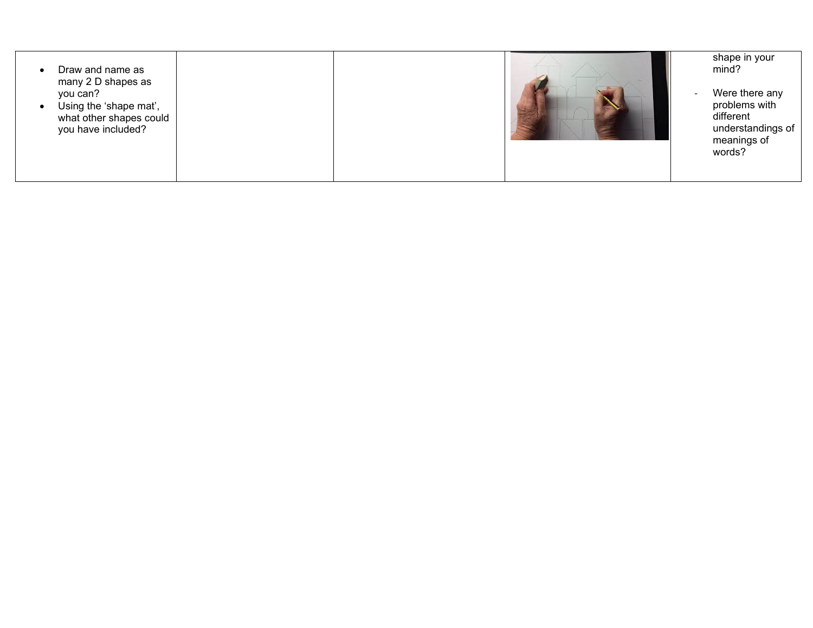| Draw and name as                                                                                          |  | shape in your<br>mind?                                                                                                 |
|-----------------------------------------------------------------------------------------------------------|--|------------------------------------------------------------------------------------------------------------------------|
| many 2 D shapes as<br>you can?<br>Using the 'shape mat',<br>what other shapes could<br>you have included? |  | Were there any<br>$\overline{\phantom{a}}$<br>problems with<br>different<br>understandings of<br>meanings of<br>words? |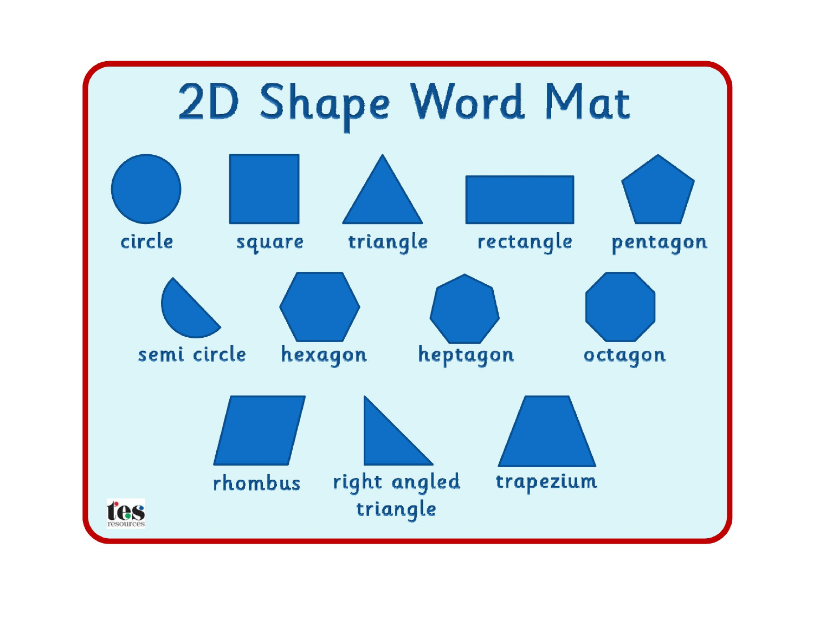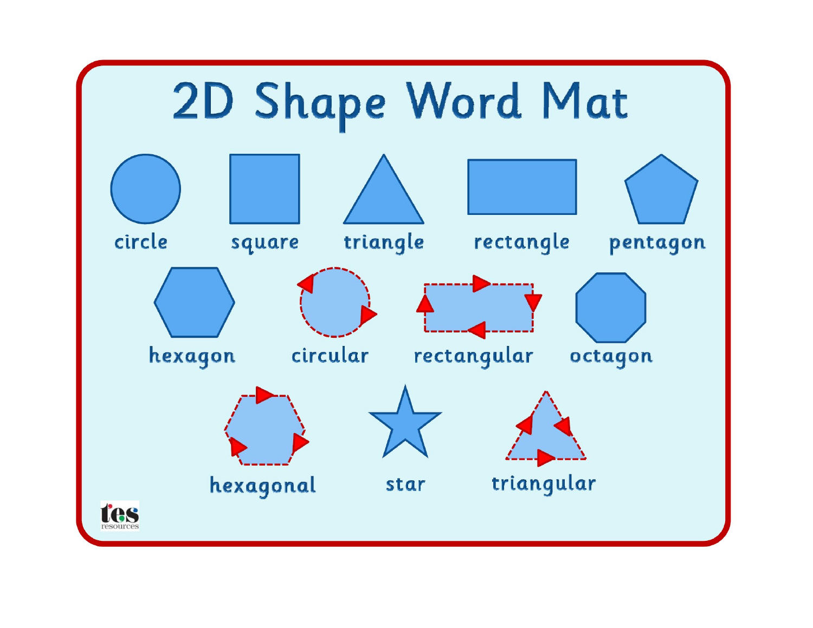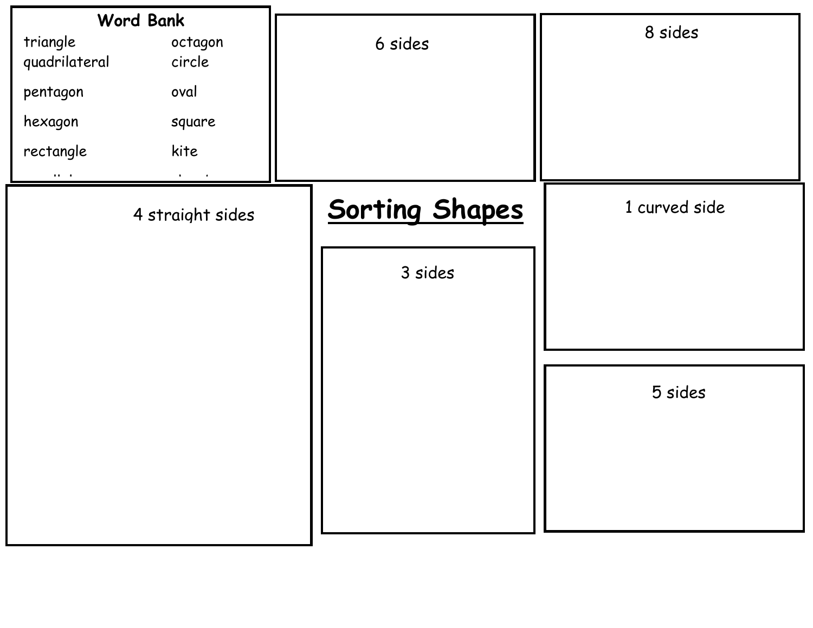| <b>Word Bank</b>                        |                   |                       | 8 sides       |  |
|-----------------------------------------|-------------------|-----------------------|---------------|--|
| triangle<br>quadrilateral               | octagon<br>circle | 6 sides               |               |  |
| pentagon                                | oval              |                       |               |  |
| hexagon                                 | square            |                       |               |  |
| rectangle                               | kite              |                       |               |  |
| $\bullet$ $\bullet$ $\bullet$ $\bullet$ |                   |                       |               |  |
|                                         | 4 straight sides  | <b>Sorting Shapes</b> | 1 curved side |  |
|                                         |                   |                       |               |  |
|                                         |                   | 3 sides               |               |  |
|                                         |                   |                       |               |  |
|                                         |                   |                       |               |  |
|                                         |                   |                       |               |  |
|                                         |                   |                       | 5 sides       |  |
|                                         |                   |                       |               |  |
|                                         |                   |                       |               |  |
|                                         |                   |                       |               |  |
|                                         |                   |                       |               |  |
|                                         |                   |                       |               |  |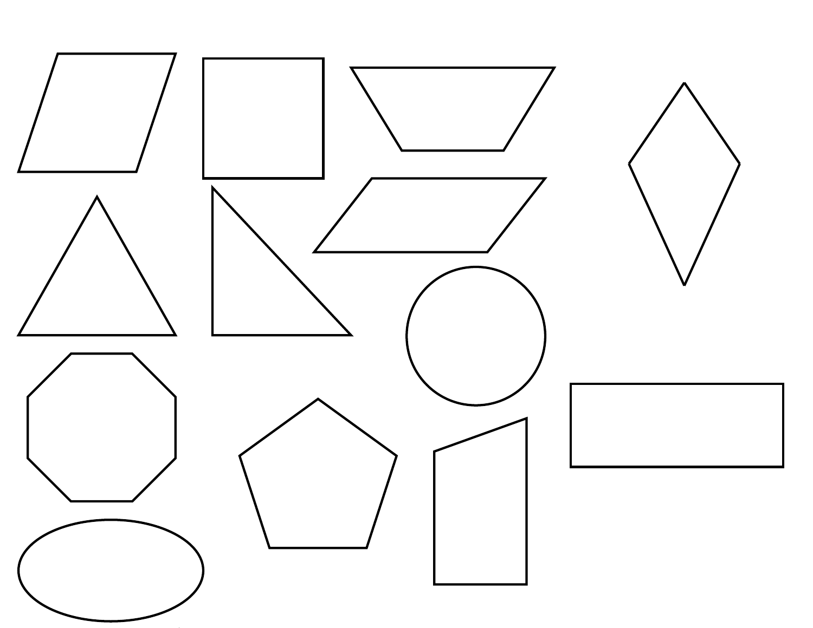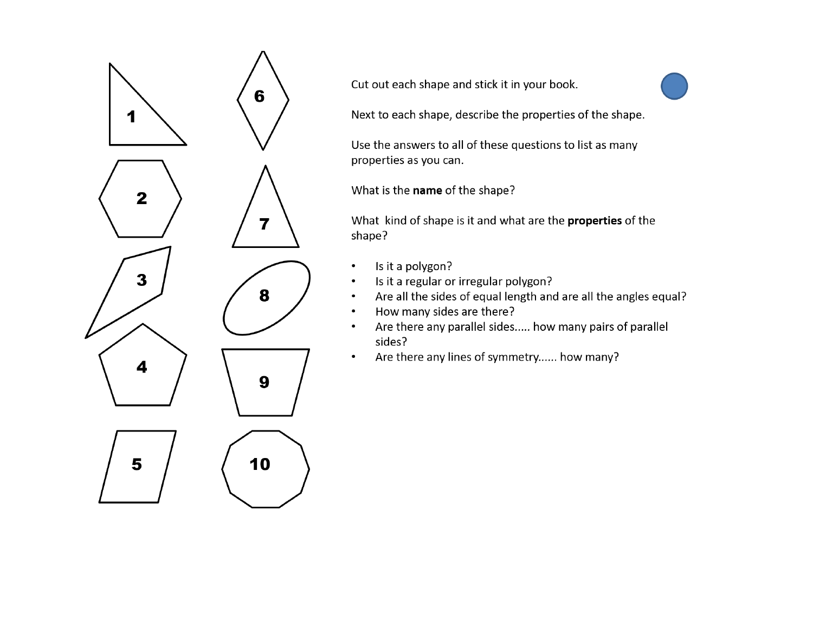

Cut out each shape and stick it in your book.

Next to each shape, describe the properties of the shape.

Use the answers to all of these questions to list as many properties as you can.

What is the name of the shape?

What kind of shape is it and what are the properties of the shape?

- Is it a polygon?  $\bullet$
- Is it a regular or irregular polygon?  $\bullet$
- Are all the sides of equal length and are all the angles equal?  $\bullet$
- How many sides are there?  $\bullet$
- Are there any parallel sides..... how many pairs of parallel  $\bullet$ sides?
- Are there any lines of symmetry...... how many?  $\bullet$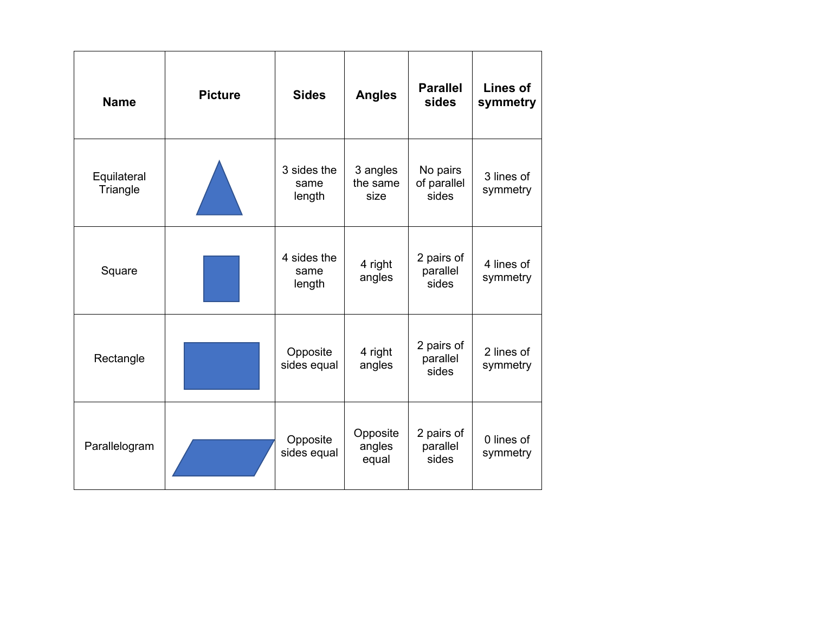| <b>Name</b>             | <b>Picture</b> | <b>Sides</b>                  | <b>Angles</b>                | <b>Parallel</b><br>sides         | <b>Lines of</b><br>symmetry |
|-------------------------|----------------|-------------------------------|------------------------------|----------------------------------|-----------------------------|
| Equilateral<br>Triangle |                | 3 sides the<br>same<br>length | 3 angles<br>the same<br>size | No pairs<br>of parallel<br>sides | 3 lines of<br>symmetry      |
| Square                  |                | 4 sides the<br>same<br>length | 4 right<br>angles            | 2 pairs of<br>parallel<br>sides  | 4 lines of<br>symmetry      |
| Rectangle               |                | Opposite<br>sides equal       | 4 right<br>angles            | 2 pairs of<br>parallel<br>sides  | 2 lines of<br>symmetry      |
| Parallelogram           |                | Opposite<br>sides equal       | Opposite<br>angles<br>equal  | 2 pairs of<br>parallel<br>sides  | 0 lines of<br>symmetry      |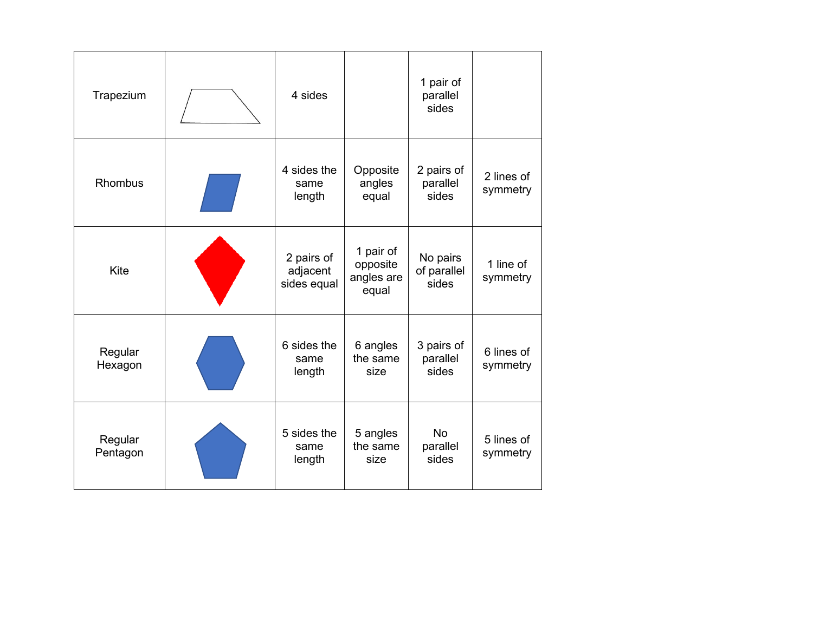| Trapezium           | 4 sides                               |                                              | 1 pair of<br>parallel<br>sides   |                        |
|---------------------|---------------------------------------|----------------------------------------------|----------------------------------|------------------------|
| <b>Rhombus</b>      | 4 sides the<br>same<br>length         | Opposite<br>angles<br>equal                  | 2 pairs of<br>parallel<br>sides  | 2 lines of<br>symmetry |
| Kite                | 2 pairs of<br>adjacent<br>sides equal | 1 pair of<br>opposite<br>angles are<br>equal | No pairs<br>of parallel<br>sides | 1 line of<br>symmetry  |
| Regular<br>Hexagon  | 6 sides the<br>same<br>length         | 6 angles<br>the same<br>size                 | 3 pairs of<br>parallel<br>sides  | 6 lines of<br>symmetry |
| Regular<br>Pentagon | 5 sides the<br>same<br>length         | 5 angles<br>the same<br>size                 | <b>No</b><br>parallel<br>sides   | 5 lines of<br>symmetry |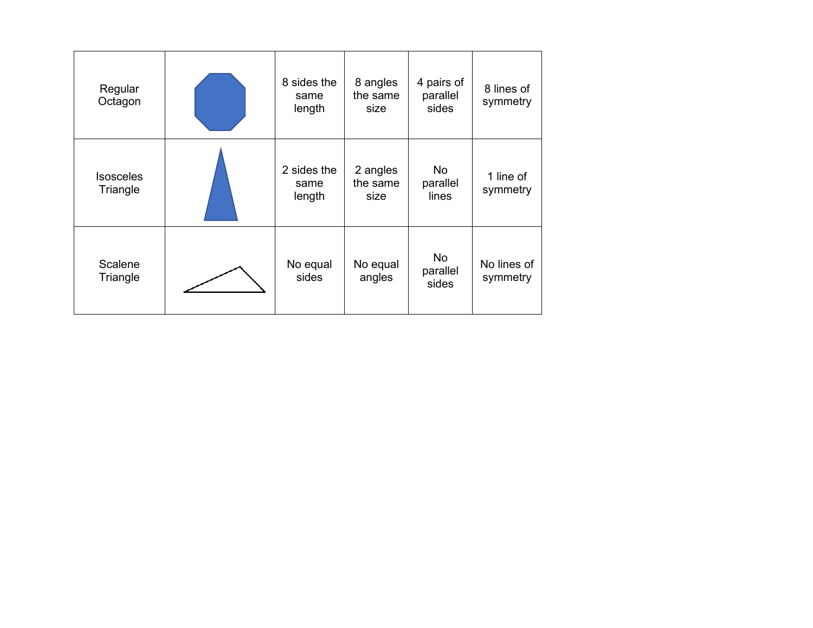| Regular<br>Octagon           | 8 sides the<br>same<br>length | 8 angles<br>the same<br>size | 4 pairs of<br>parallel<br>sides | 8 lines of<br>symmetry  |
|------------------------------|-------------------------------|------------------------------|---------------------------------|-------------------------|
| <b>Isosceles</b><br>Triangle | 2 sides the<br>same<br>length | 2 angles<br>the same<br>size | No.<br>parallel<br>lines        | 1 line of<br>symmetry   |
| Scalene<br>Triangle          | No equal<br>sides             | No equal<br>angles           | <b>No</b><br>parallel<br>sides  | No lines of<br>symmetry |